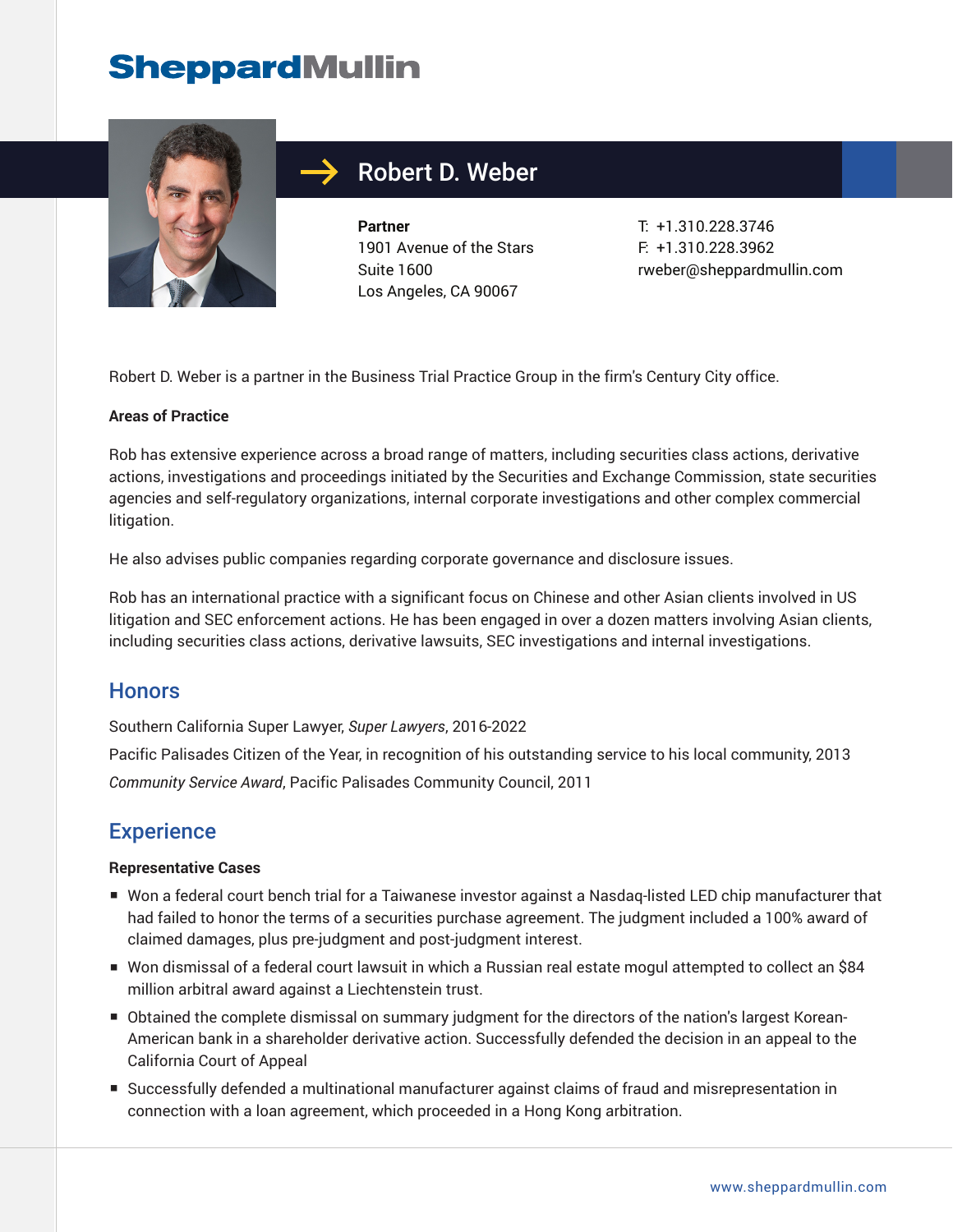## **SheppardMullin**



## Robert D. Weber

**Partner** 1901 Avenue of the Stars Suite 1600 Los Angeles, CA 90067

T: +1.310.228.3746 F: +1.310.228.3962 rweber@sheppardmullin.com

Robert D. Weber is a partner in the Business Trial Practice Group in the firm's Century City office.

#### **Areas of Practice**

Rob has extensive experience across a broad range of matters, including securities class actions, derivative actions, investigations and proceedings initiated by the Securities and Exchange Commission, state securities agencies and self-regulatory organizations, internal corporate investigations and other complex commercial litigation.

He also advises public companies regarding corporate governance and disclosure issues.

Rob has an international practice with a significant focus on Chinese and other Asian clients involved in US litigation and SEC enforcement actions. He has been engaged in over a dozen matters involving Asian clients, including securities class actions, derivative lawsuits, SEC investigations and internal investigations.

#### **Honors**

Southern California Super Lawyer, *Super Lawyers*, 2016-2022

Pacific Palisades Citizen of the Year, in recognition of his outstanding service to his local community, 2013 *Community Service Award*, Pacific Palisades Community Council, 2011

#### **Experience**

#### **Representative Cases**

- Won a federal court bench trial for a Taiwanese investor against a Nasdaq-listed LED chip manufacturer that had failed to honor the terms of a securities purchase agreement. The judgment included a 100% award of claimed damages, plus pre-judgment and post-judgment interest.
- Won dismissal of a federal court lawsuit in which a Russian real estate mogul attempted to collect an \$84 million arbitral award against a Liechtenstein trust.
- Obtained the complete dismissal on summary judgment for the directors of the nation's largest Korean-American bank in a shareholder derivative action. Successfully defended the decision in an appeal to the California Court of Appeal
- Successfully defended a multinational manufacturer against claims of fraud and misrepresentation in connection with a loan agreement, which proceeded in a Hong Kong arbitration.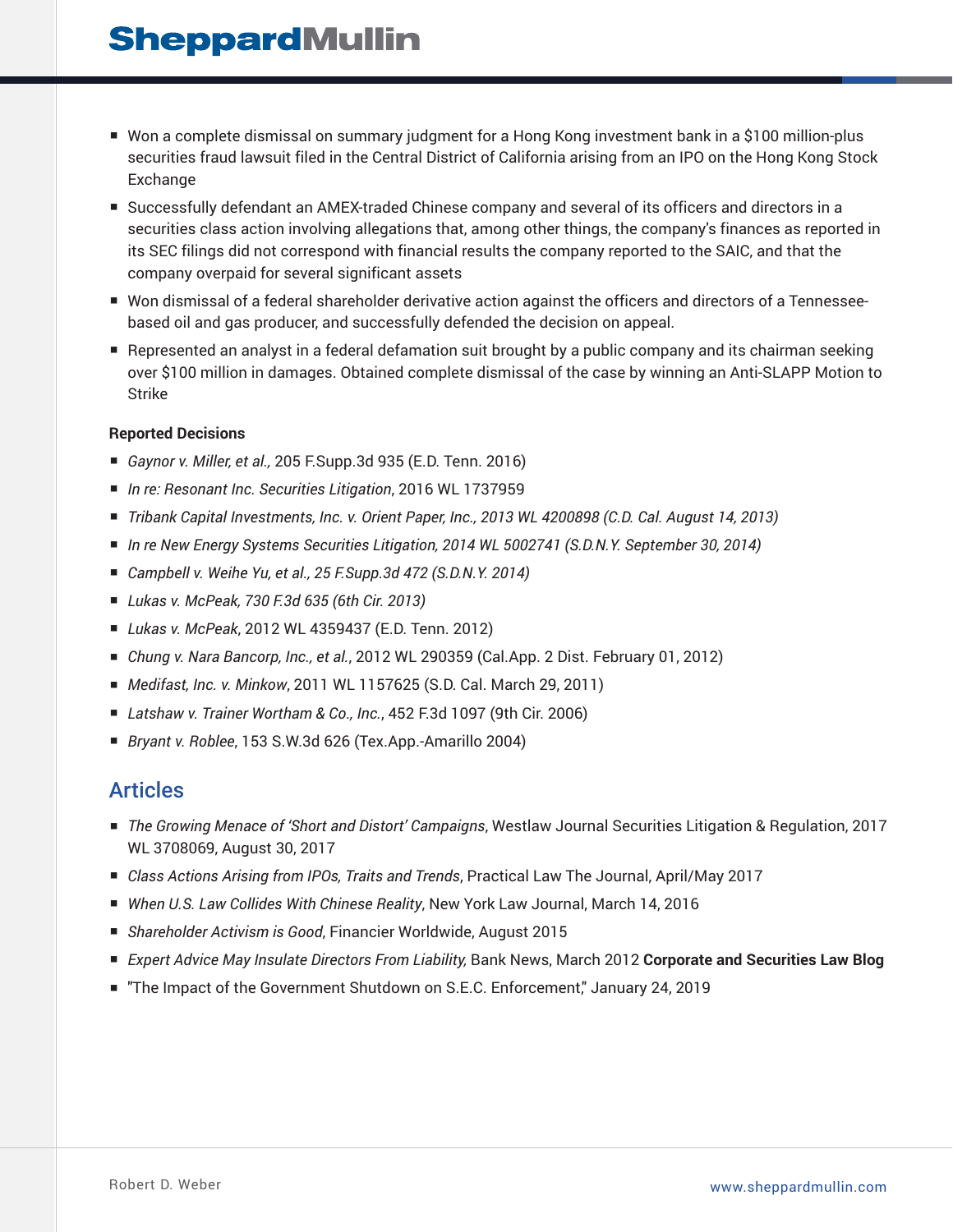## **SheppardMullin**

- Won a complete dismissal on summary judgment for a Hong Kong investment bank in a \$100 million-plus securities fraud lawsuit filed in the Central District of California arising from an IPO on the Hong Kong Stock Exchange
- Successfully defendant an AMEX-traded Chinese company and several of its officers and directors in a securities class action involving allegations that, among other things, the company's finances as reported in its SEC filings did not correspond with financial results the company reported to the SAIC, and that the company overpaid for several significant assets
- Won dismissal of a federal shareholder derivative action against the officers and directors of a Tennesseebased oil and gas producer, and successfully defended the decision on appeal.
- Represented an analyst in a federal defamation suit brought by a public company and its chairman seeking over \$100 million in damages. Obtained complete dismissal of the case by winning an Anti-SLAPP Motion to Strike

#### **Reported Decisions**

- *Gaynor v. Miller, et al.,* 205 F.Supp.3d 935 (E.D. Tenn. 2016)
- *In re: Resonant Inc. Securities Litigation*, 2016 WL 1737959
- *Tribank Capital Investments, Inc. v. Orient Paper, Inc., 2013 WL 4200898 (C.D. Cal. August 14, 2013)*
- *In re New Energy Systems Securities Litigation, 2014 WL 5002741 (S.D.N.Y. September 30, 2014)*
- *Campbell v. Weihe Yu, et al., 25 F.Supp.3d 472 (S.D.N.Y. 2014)*
- *Lukas v. McPeak, 730 F.3d 635 (6th Cir. 2013)*
- *Lukas v. McPeak*, 2012 WL 4359437 (E.D. Tenn. 2012)
- *Chung v. Nara Bancorp, Inc., et al.*, 2012 WL 290359 (Cal.App. 2 Dist. February 01, 2012)
- *Medifast, Inc. v. Minkow,* 2011 WL 1157625 (S.D. Cal. March 29, 2011)
- *Latshaw v. Trainer Wortham & Co., Inc.*, 452 F.3d 1097 (9th Cir. 2006)
- *Bryant v. Roblee*, 153 S.W.3d 626 (Tex.App.-Amarillo 2004)

#### Articles

- *The Growing Menace of 'Short and Distort' Campaigns*, Westlaw Journal Securities Litigation & Regulation, 2017 WL 3708069, August 30, 2017
- *Class Actions Arising from IPOs, Traits and Trends*, Practical Law The Journal, April/May 2017
- *When U.S. Law Collides With Chinese Reality*, New York Law Journal, March 14, 2016
- *Shareholder Activism is Good*, Financier Worldwide, August 2015
- *Expert Advice May Insulate Directors From Liability*, Bank News, March 2012 **Corporate and Securities Law Blog**
- "The Impact of the Government Shutdown on S.E.C. Enforcement," January 24, 2019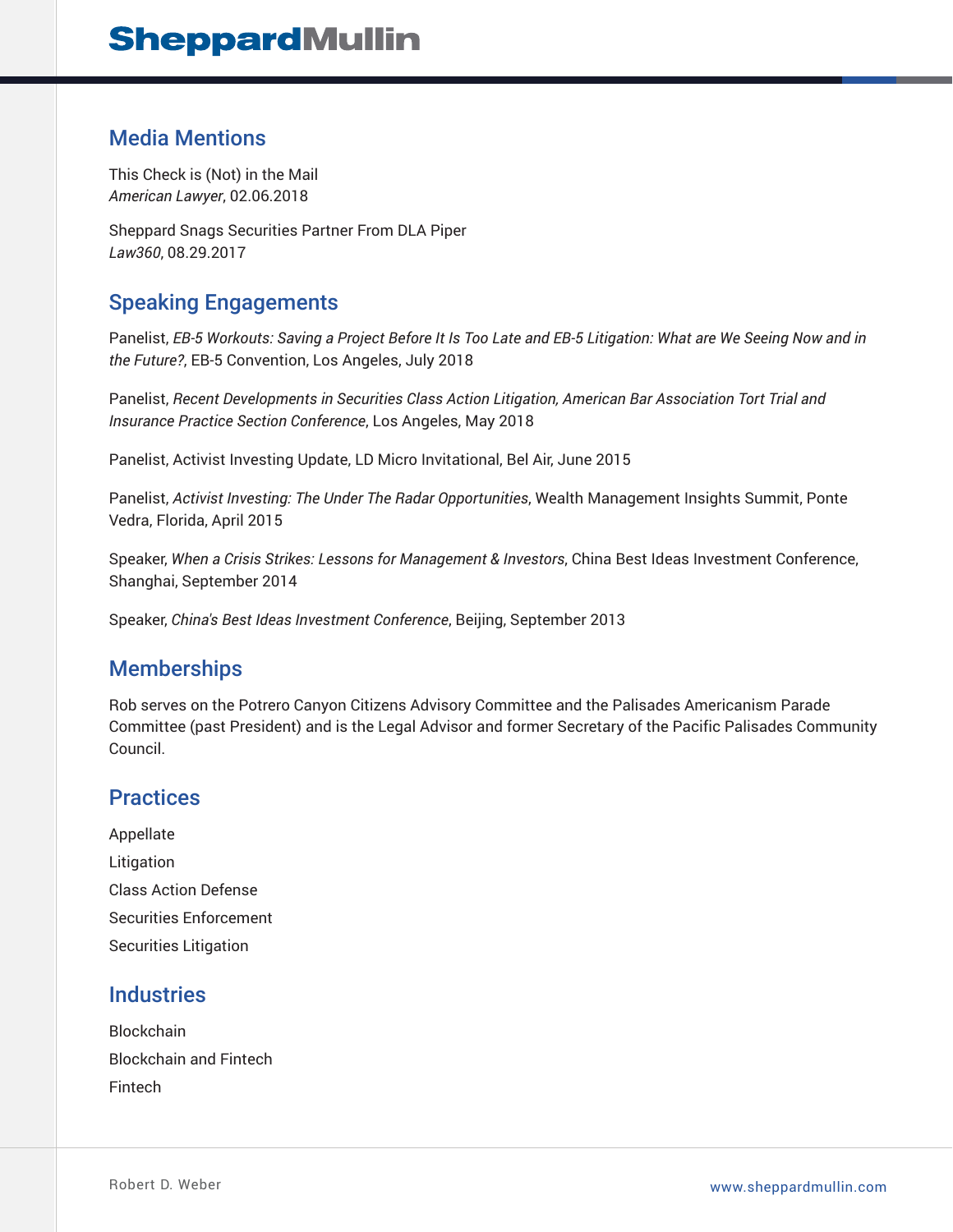#### Media Mentions

This Check is (Not) in the Mail *American Lawyer*, 02.06.2018

Sheppard Snags Securities Partner From DLA Piper *Law360*, 08.29.2017

### Speaking Engagements

Panelist, *EB-5 Workouts: Saving a Project Before It Is Too Late and EB-5 Litigation: What are We Seeing Now and in the Future?*, EB-5 Convention, Los Angeles, July 2018

Panelist, *Recent Developments in Securities Class Action Litigation, American Bar Association Tort Trial and Insurance Practice Section Conference*, Los Angeles, May 2018

Panelist, Activist Investing Update, LD Micro Invitational, Bel Air, June 2015

Panelist, *Activist Investing: The Under The Radar Opportunities*, Wealth Management Insights Summit, Ponte Vedra, Florida, April 2015

Speaker, *When a Crisis Strikes: Lessons for Management & Investors*, China Best Ideas Investment Conference, Shanghai, September 2014

Speaker, *China's Best Ideas Investment Conference*, Beijing, September 2013

#### **Memberships**

Rob serves on the Potrero Canyon Citizens Advisory Committee and the Palisades Americanism Parade Committee (past President) and is the Legal Advisor and former Secretary of the Pacific Palisades Community Council.

#### **Practices**

Appellate Litigation Class Action Defense Securities Enforcement Securities Litigation

### **Industries**

Blockchain Blockchain and Fintech Fintech